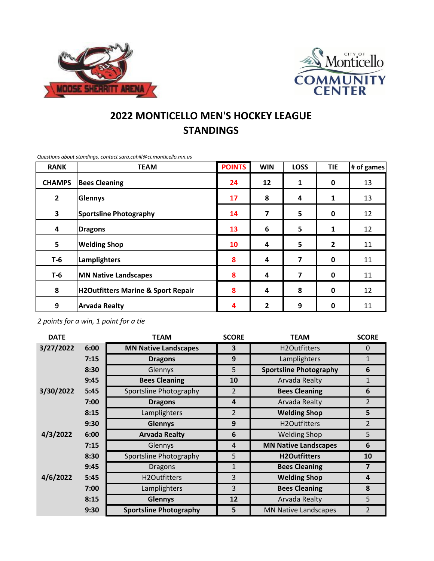



## **2022 MONTICELLO MEN'S HOCKEY LEAGUE STANDINGS**

**RANK POINTS WIN LOSS TIE # of games CHAMPS Bees Cleaning 24 12 1 0** 13 **2 Glennys 17 8 4 1** 13 **3 Sportsline Photography 14 7 5 0** 12 **4 Dragons 13 6 5 1** 12 **5 Welding Shop 10 4 5 2** 11 **T-6 Lamplighters 8 4 7 0** 11 **T-6 MN Native Landscapes 8 4 7 0** 11 **8 H2Outfitters Marine & Sport Repair 8 4 8 0** 12 **9 Arvada Realty 4 2 9 0** 11 **TEAM**

*Questions about standings, contact sara.cahill@ci.monticello.mn.us*

*2 points for a win, 1 point for a tie*

| <b>DATE</b> |      | <b>TEAM</b>                   | <b>SCORE</b>   | <b>TEAM</b>                   | <b>SCORE</b>   |
|-------------|------|-------------------------------|----------------|-------------------------------|----------------|
| 3/27/2022   | 6:00 | <b>MN Native Landscapes</b>   | 3              | H2Outfitters                  | $\Omega$       |
|             | 7:15 | <b>Dragons</b>                | 9              | Lamplighters                  | $\mathbf{1}$   |
|             | 8:30 | Glennys                       | 5              | <b>Sportsline Photography</b> | 6              |
|             | 9:45 | <b>Bees Cleaning</b>          | 10             | Arvada Realty                 | $\mathbf{1}$   |
| 3/30/2022   | 5:45 | Sportsline Photography        | 2              | <b>Bees Cleaning</b>          | 6              |
|             | 7:00 | <b>Dragons</b>                | $\overline{a}$ | Arvada Realty                 | $\overline{2}$ |
|             | 8:15 | Lamplighters                  | $\overline{2}$ | <b>Welding Shop</b>           | 5              |
|             | 9:30 | <b>Glennys</b>                | 9              | H2Outfitters                  | $\overline{2}$ |
| 4/3/2022    | 6:00 | <b>Arvada Realty</b>          | 6              | <b>Welding Shop</b>           | 5              |
|             | 7:15 | Glennys                       | $\overline{4}$ | <b>MN Native Landscapes</b>   | 6              |
|             | 8:30 | Sportsline Photography        | 5              | <b>H2Outfitters</b>           | 10             |
|             | 9:45 | <b>Dragons</b>                | 1              | <b>Bees Cleaning</b>          | $\overline{7}$ |
| 4/6/2022    | 5:45 | H2Outfitters                  | 3              | <b>Welding Shop</b>           | 4              |
|             | 7:00 | Lamplighters                  | 3              | <b>Bees Cleaning</b>          | 8              |
|             | 8:15 | <b>Glennys</b>                | 12             | <b>Arvada Realty</b>          | 5              |
|             | 9:30 | <b>Sportsline Photography</b> | 5              | <b>MN Native Landscapes</b>   | $\overline{2}$ |